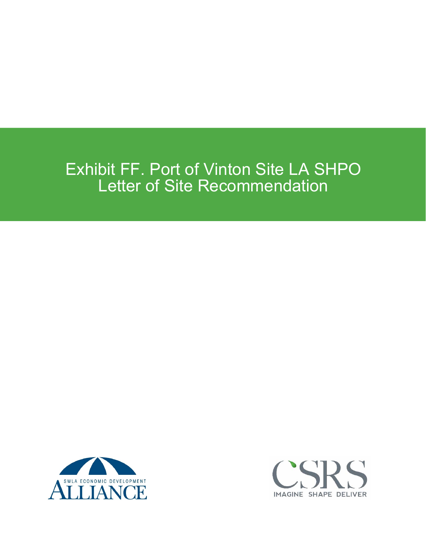## Exhibit FF. Port of Vinton Site LA SHPO Letter of Site Recommendation